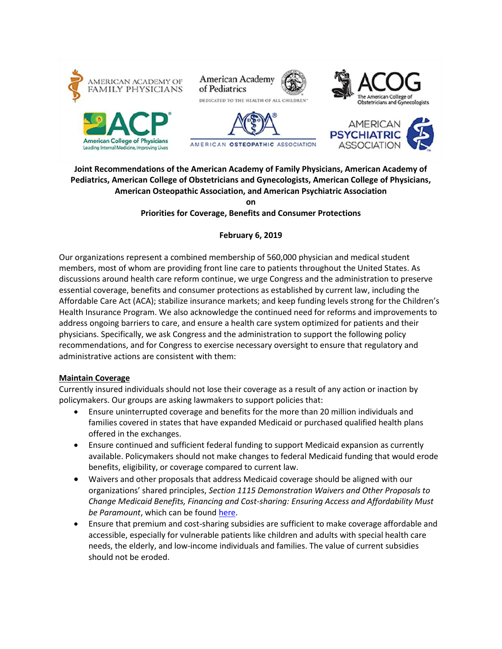









# **Joint Recommendations of the American Academy of Family Physicians, American Academy of Pediatrics, American College of Obstetricians and Gynecologists, American College of Physicians, American Osteopathic Association, and American Psychiatric Association**

#### **on Priorities for Coverage, Benefits and Consumer Protections**

# **February 6, 2019**

Our organizations represent a combined membership of 560,000 physician and medical student members, most of whom are providing front line care to patients throughout the United States. As discussions around health care reform continue, we urge Congress and the administration to preserve essential coverage, benefits and consumer protections as established by current law, including the Affordable Care Act (ACA); stabilize insurance markets; and keep funding levels strong for the Children's Health Insurance Program. We also acknowledge the continued need for reforms and improvements to address ongoing barriers to care, and ensure a health care system optimized for patients and their physicians. Specifically, we ask Congress and the administration to support the following policy recommendations, and for Congress to exercise necessary oversight to ensure that regulatory and administrative actions are consistent with them:

# **Maintain Coverage**

Currently insured individuals should not lose their coverage as a result of any action or inaction by policymakers. Our groups are asking lawmakers to support policies that:

- Ensure uninterrupted coverage and benefits for the more than 20 million individuals and families covered in states that have expanded Medicaid or purchased qualified health plans offered in the exchanges.
- Ensure continued and sufficient federal funding to support Medicaid expansion as currently available. Policymakers should not make changes to federal Medicaid funding that would erode benefits, eligibility, or coverage compared to current law.
- Waivers and other proposals that address Medicaid coverage should be aligned with our organizations' shared principles, *Section 1115 Demonstration Waivers and Other Proposals to Change Medicaid Benefits, Financing and Cost-sharing: Ensuring Access and Affordability Must be Paramount*, which can be foun[d here.](https://www.acponline.org/acp_policy/statements/joint_principles_medicaid_waivers_2017.pdf)
- Ensure that premium and cost-sharing subsidies are sufficient to make coverage affordable and accessible, especially for vulnerable patients like children and adults with special health care needs, the elderly, and low-income individuals and families. The value of current subsidies should not be eroded.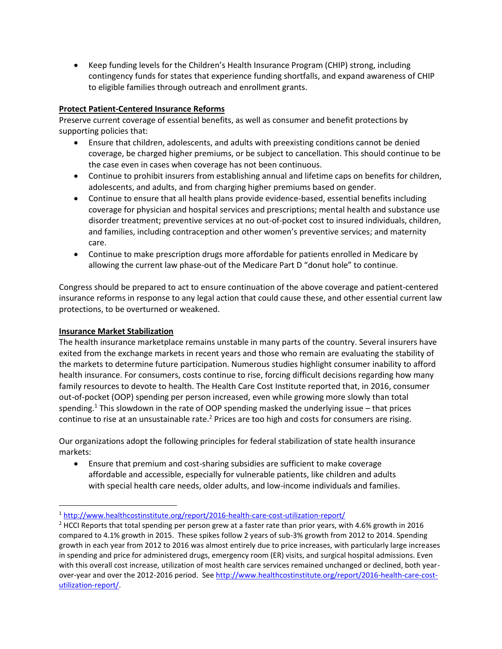Keep funding levels for the Children's Health Insurance Program (CHIP) strong, including contingency funds for states that experience funding shortfalls, and expand awareness of CHIP to eligible families through outreach and enrollment grants.

# **Protect Patient-Centered Insurance Reforms**

Preserve current coverage of essential benefits, as well as consumer and benefit protections by supporting policies that:

- Ensure that children, adolescents, and adults with preexisting conditions cannot be denied coverage, be charged higher premiums, or be subject to cancellation. This should continue to be the case even in cases when coverage has not been continuous.
- Continue to prohibit insurers from establishing annual and lifetime caps on benefits for children, adolescents, and adults, and from charging higher premiums based on gender.
- Continue to ensure that all health plans provide evidence-based, essential benefits including coverage for physician and hospital services and prescriptions; mental health and substance use disorder treatment; preventive services at no out-of-pocket cost to insured individuals, children, and families, including contraception and other women's preventive services; and maternity care.
- Continue to make prescription drugs more affordable for patients enrolled in Medicare by allowing the current law phase-out of the Medicare Part D "donut hole" to continue.

Congress should be prepared to act to ensure continuation of the above coverage and patient-centered insurance reforms in response to any legal action that could cause these, and other essential current law protections, to be overturned or weakened.

#### **Insurance Market Stabilization**

 $\overline{a}$ 

The health insurance marketplace remains unstable in many parts of the country. Several insurers have exited from the exchange markets in recent years and those who remain are evaluating the stability of the markets to determine future participation. Numerous studies highlight consumer inability to afford health insurance. For consumers, costs continue to rise, forcing difficult decisions regarding how many family resources to devote to health. The Health Care Cost Institute reported that, in 2016, consumer out-of-pocket (OOP) spending per person increased, even while growing more slowly than total spending.<sup>1</sup> This slowdown in the rate of OOP spending masked the underlying issue – that prices continue to rise at an unsustainable rate.<sup>2</sup> Prices are too high and costs for consumers are rising.

Our organizations adopt the following principles for federal stabilization of state health insurance markets:

 Ensure that premium and cost-sharing subsidies are sufficient to make coverage affordable and accessible, especially for vulnerable patients, like children and adults with special health care needs, older adults, and low-income individuals and families.

<sup>1</sup> <http://www.healthcostinstitute.org/report/2016-health-care-cost-utilization-report/>

 $2$  HCCI Reports that total spending per person grew at a faster rate than prior years, with 4.6% growth in 2016 compared to 4.1% growth in 2015. These spikes follow 2 years of sub-3% growth from 2012 to 2014. Spending growth in each year from 2012 to 2016 was almost entirely due to price increases, with particularly large increases in spending and price for administered drugs, emergency room (ER) visits, and surgical hospital admissions. Even with this overall cost increase, utilization of most health care services remained unchanged or declined, both yearover-year and over the 2012-2016 period. Se[e http://www.healthcostinstitute.org/report/2016-health-care-cost](http://www.healthcostinstitute.org/report/2016-health-care-cost-utilization-report/)[utilization-report/.](http://www.healthcostinstitute.org/report/2016-health-care-cost-utilization-report/)